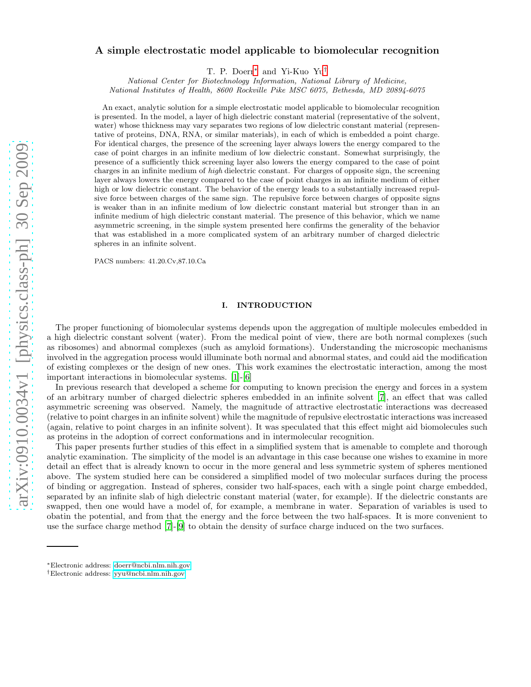# A simple electrostatic model applicable to biomolecular recognition

T. P. Doerr[∗](#page-0-0) and Yi-Kuo Yu[†](#page-0-1)

National Center for Biotechnology Information, National Library of Medicine, National Institutes of Health, 8600 Rockville Pike MSC 6075, Bethesda, MD 20894-6075

An exact, analytic solution for a simple electrostatic model applicable to biomolecular recognition is presented. In the model, a layer of high dielectric constant material (representative of the solvent, water) whose thickness may vary separates two regions of low dielectric constant material (representative of proteins, DNA, RNA, or similar materials), in each of which is embedded a point charge. For identical charges, the presence of the screening layer always lowers the energy compared to the case of point charges in an infinite medium of low dielectric constant. Somewhat surprisingly, the presence of a sufficiently thick screening layer also lowers the energy compared to the case of point charges in an infinite medium of high dielectric constant. For charges of opposite sign, the screening layer always lowers the energy compared to the case of point charges in an infinite medium of either high or low dielectric constant. The behavior of the energy leads to a substantially increased repulsive force between charges of the same sign. The repulsive force between charges of opposite signs is weaker than in an infinite medium of low dielectric constant material but stronger than in an infinite medium of high dielectric constant material. The presence of this behavior, which we name asymmetric screening, in the simple system presented here confirms the generality of the behavior that was established in a more complicated system of an arbitrary number of charged dielectric spheres in an infinite solvent.

PACS numbers: 41.20.Cv,87.10.Ca

## I. INTRODUCTION

The proper functioning of biomolecular systems depends upon the aggregation of multiple molecules embedded in a high dielectric constant solvent (water). From the medical point of view, there are both normal complexes (such as ribosomes) and abnormal complexes (such as amyloid formations). Understanding the microscopic mechanisms involved in the aggregation process would illuminate both normal and abnormal states, and could aid the modification of existing complexes or the design of new ones. This work examines the electrostatic interaction, among the most important interactions in biomolecular systems. [\[1](#page-14-0)]-[\[6\]](#page-14-1)

In previous research that developed a scheme for computing to known precision the energy and forces in a system of an arbitrary number of charged dielectric spheres embedded in an infinite solvent [\[7\]](#page-14-2), an effect that was called asymmetric screening was observed. Namely, the magnitude of attractive electrostatic interactions was decreased (relative to point charges in an infinite solvent) while the magnitude of repulsive electrostatic interactions was increased (again, relative to point charges in an infinite solvent). It was speculated that this effect might aid biomolecules such as proteins in the adoption of correct conformations and in intermolecular recognition.

This paper presents further studies of this effect in a simplified system that is amenable to complete and thorough analytic examination. The simplicity of the model is an advantage in this case because one wishes to examine in more detail an effect that is already known to occur in the more general and less symmetric system of spheres mentioned above. The system studied here can be considered a simplified model of two molecular surfaces during the process of binding or aggregation. Instead of spheres, consider two half-spaces, each with a single point charge embedded, separated by an infinite slab of high dielectric constant material (water, for example). If the dielectric constants are swapped, then one would have a model of, for example, a membrane in water. Separation of variables is used to obatin the potential, and from that the energy and the force between the two half-spaces. It is more convenient to use the surface charge method [\[7](#page-14-2)]-[\[9](#page-14-3)] to obtain the density of surface charge induced on the two surfaces.

<span id="page-0-0"></span><sup>∗</sup>Electronic address: [doerr@ncbi.nlm.nih.gov](mailto:doerr@ncbi.nlm.nih.gov)

<span id="page-0-1"></span><sup>†</sup>Electronic address: [yyu@ncbi.nlm.nih.gov](mailto:yyu@ncbi.nlm.nih.gov)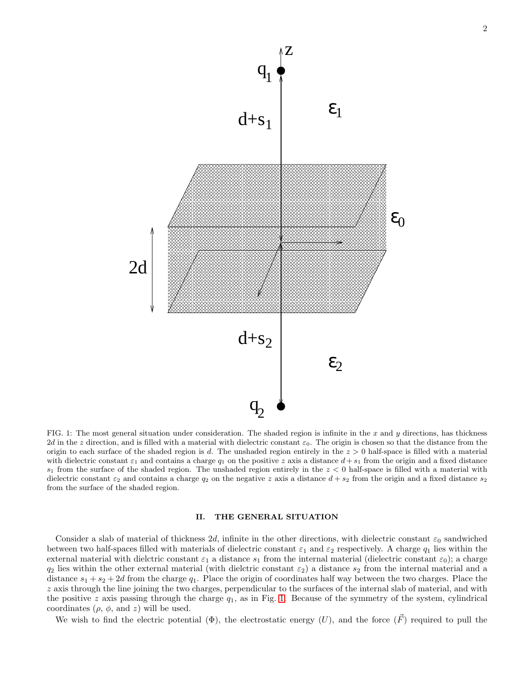

<span id="page-1-0"></span>FIG. 1: The most general situation under consideration. The shaded region is infinite in the  $x$  and  $y$  directions, has thickness 2d in the z direction, and is filled with a material with dielectric constant  $\varepsilon_0$ . The origin is chosen so that the distance from the origin to each surface of the shaded region is d. The unshaded region entirely in the  $z > 0$  half-space is filled with a material with dielectric constant  $\varepsilon_1$  and contains a charge  $q_1$  on the positive z axis a distance  $d + s_1$  from the origin and a fixed distance  $s_1$  from the surface of the shaded region. The unshaded region entirely in the  $z < 0$  half-space is filled with a material with dielectric constant  $\varepsilon_2$  and contains a charge  $q_2$  on the negative z axis a distance  $d + s_2$  from the origin and a fixed distance  $s_2$ from the surface of the shaded region.

#### II. THE GENERAL SITUATION

Consider a slab of material of thickness 2d, infinite in the other directions, with dielectric constant  $\varepsilon_0$  sandwiched between two half-spaces filled with materials of dielectric constant  $\varepsilon_1$  and  $\varepsilon_2$  respectively. A charge  $q_1$  lies within the external material with dielctric constant  $\varepsilon_1$  a distance  $s_1$  from the internal material (dielectric constant  $\varepsilon_0$ ); a charge  $q_2$  lies within the other external material (with dielctric constant  $\varepsilon_2$ ) a distance  $s_2$  from the internal material and a distance  $s_1 + s_2 + 2d$  from the charge  $q_1$ . Place the origin of coordinates half way between the two charges. Place the z axis through the line joining the two charges, perpendicular to the surfaces of the internal slab of material, and with the positive z axis passing through the charge  $q_1$ , as in Fig. [1.](#page-1-0) Because of the symmetry of the system, cylindrical coordinates  $(\rho, \phi, \text{and } z)$  will be used.

We wish to find the electric potential  $(\Phi)$ , the electrostatic energy  $(U)$ , and the force  $(\vec{F})$  required to pull the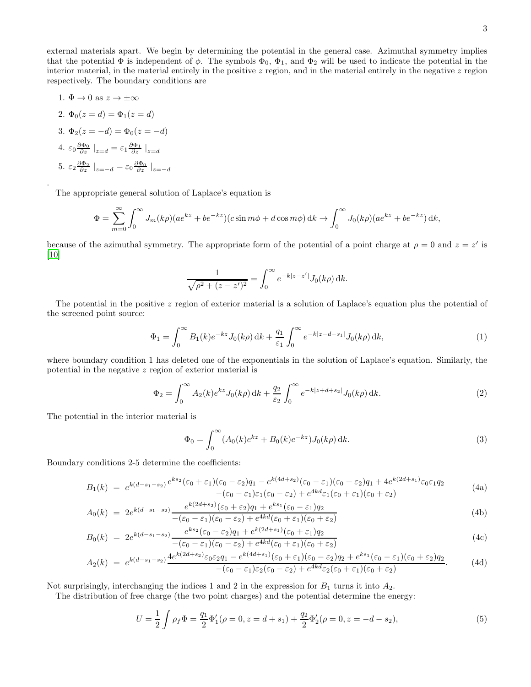external materials apart. We begin by determining the potential in the general case. Azimuthal symmetry implies that the potential  $\Phi$  is independent of  $\phi$ . The symbols  $\Phi_0$ ,  $\Phi_1$ , and  $\Phi_2$  will be used to indicate the potential in the interior material, in the material entirely in the positive  $z$  region, and in the material entirely in the negative  $z$  region respectively. The boundary conditions are

1. 
$$
\Phi \to 0
$$
 as  $z \to \pm \infty$   
\n2.  $\Phi_0(z = d) = \Phi_1(z = d)$   
\n3.  $\Phi_2(z = -d) = \Phi_0(z = -d)$   
\n4.  $\varepsilon_0 \frac{\partial \Phi_0}{\partial z} \big|_{z=d} = \varepsilon_1 \frac{\partial \Phi_1}{\partial z} \big|_{z=d}$   
\n5.  $\varepsilon_2 \frac{\partial \Phi_2}{\partial z} \big|_{z=-d} = \varepsilon_0 \frac{\partial \Phi_0}{\partial z} \big|_{z=-d}$ 

.

The appropriate general solution of Laplace's equation is

$$
\Phi = \sum_{m=0}^{\infty} \int_0^{\infty} J_m(k\rho)(ae^{kz} + be^{-kz})(c\sin m\phi + d\cos m\phi) \,dk \to \int_0^{\infty} J_0(k\rho)(ae^{kz} + be^{-kz}) \,dk,
$$

because of the azimuthal symmetry. The appropriate form of the potential of a point charge at  $\rho = 0$  and  $z = z'$  is [\[10\]](#page-14-4)

$$
\frac{1}{\sqrt{\rho^2 + (z - z')^2}} = \int_0^\infty e^{-k|z - z'|} J_0(k\rho) \, \mathrm{d}k.
$$

The potential in the positive z region of exterior material is a solution of Laplace's equation plus the potential of the screened point source:

<span id="page-2-0"></span>
$$
\Phi_1 = \int_0^\infty B_1(k)e^{-kz}J_0(k\rho) \, \mathrm{d}k + \frac{q_1}{\varepsilon_1} \int_0^\infty e^{-k|z - d - s_1|} J_0(k\rho) \, \mathrm{d}k,\tag{1}
$$

where boundary condition 1 has deleted one of the exponentials in the solution of Laplace's equation. Similarly, the potential in the negative z region of exterior material is

<span id="page-2-1"></span>
$$
\Phi_2 = \int_0^\infty A_2(k)e^{kz} J_0(k\rho) \, \mathrm{d}k + \frac{q_2}{\varepsilon_2} \int_0^\infty e^{-k|z+d+s_2|} J_0(k\rho) \, \mathrm{d}k. \tag{2}
$$

The potential in the interior material is

<span id="page-2-4"></span><span id="page-2-2"></span>
$$
\Phi_0 = \int_0^\infty (A_0(k)e^{kz} + B_0(k)e^{-kz})J_0(k\rho) \,dk. \tag{3}
$$

Boundary conditions 2-5 determine the coefficients:

$$
B_1(k) = e^{k(d-s_1-s_2)} \frac{e^{ks_2}(\varepsilon_0 + \varepsilon_1)(\varepsilon_0 - \varepsilon_2)q_1 - e^{k(4d+s_2)}(\varepsilon_0 - \varepsilon_1)(\varepsilon_0 + \varepsilon_2)q_1 + 4e^{k(2d+s_1)}\varepsilon_0\varepsilon_1q_2}{-(\varepsilon_0 - \varepsilon_1)\varepsilon_1(\varepsilon_0 - \varepsilon_2) + e^{4kd}\varepsilon_1(\varepsilon_0 + \varepsilon_1)(\varepsilon_0 + \varepsilon_2)}
$$
(4a)

$$
A_0(k) = 2e^{k(d-s_1-s_2)} \frac{e^{k(2d+s_2)}(\varepsilon_0 + \varepsilon_2)q_1 + e^{ks_1}(\varepsilon_0 - \varepsilon_1)q_2}{-(\varepsilon_0 - \varepsilon_1)(\varepsilon_0 - \varepsilon_2) + e^{4kd}(\varepsilon_0 + \varepsilon_1)(\varepsilon_0 + \varepsilon_2)}
$$
(4b)

$$
B_0(k) = 2e^{k(d-s_1-s_2)} \frac{e^{ks_2}(\varepsilon_0 - \varepsilon_2)q_1 + e^{k(2d+s_1)}(\varepsilon_0 + \varepsilon_1)q_2}{-(\varepsilon_0 - \varepsilon_1)(\varepsilon_0 - \varepsilon_2) + e^{4kd}(\varepsilon_0 + \varepsilon_1)(\varepsilon_0 + \varepsilon_2)}
$$
(4c)

$$
A_2(k) = e^{k(d-s_1-s_2)} \frac{4e^{k(2d+s_2)}\varepsilon_0\varepsilon_2q_1 - e^{k(4d+s_1)}(\varepsilon_0 + \varepsilon_1)(\varepsilon_0 - \varepsilon_2)q_2 + e^{ks_1}(\varepsilon_0 - \varepsilon_1)(\varepsilon_0 + \varepsilon_2)q_2}{-(\varepsilon_0 - \varepsilon_1)\varepsilon_2(\varepsilon_0 - \varepsilon_2) + e^{4kd}\varepsilon_2(\varepsilon_0 + \varepsilon_1)(\varepsilon_0 + \varepsilon_2)}.
$$
 (4d)

Not surprisingly, interchanging the indices 1 and 2 in the expression for  $B_1$  turns it into  $A_2$ .

The distribution of free charge (the two point charges) and the potential determine the energy:

<span id="page-2-3"></span>
$$
U = \frac{1}{2} \int \rho_f \Phi = \frac{q_1}{2} \Phi_1' (\rho = 0, z = d + s_1) + \frac{q_2}{2} \Phi_2' (\rho = 0, z = -d - s_2),
$$
\n(5)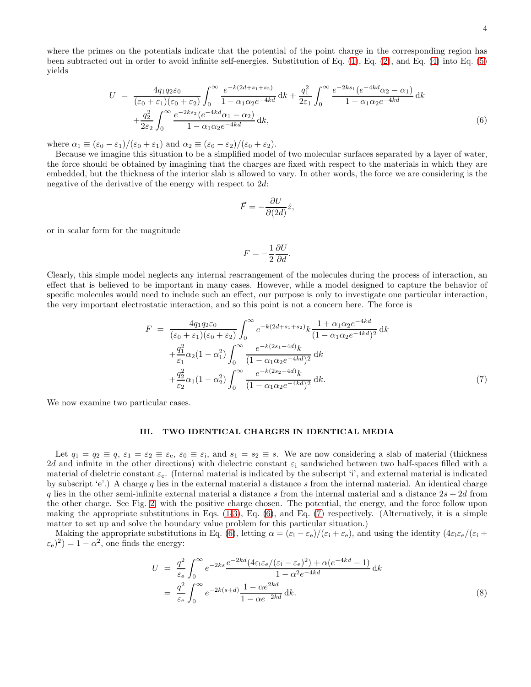where the primes on the potentials indicate that the potential of the point charge in the corresponding region has been subtracted out in order to avoid infinite self-energies. Substitution of Eq. [\(1\)](#page-2-0), Eq. [\(2\)](#page-2-1), and Eq. [\(4\)](#page-2-2) into Eq. [\(5\)](#page-2-3) yields

<span id="page-3-0"></span>
$$
U = \frac{4q_1q_2\varepsilon_0}{(\varepsilon_0 + \varepsilon_1)(\varepsilon_0 + \varepsilon_2)} \int_0^\infty \frac{e^{-k(2d + s_1 + s_2)}}{1 - \alpha_1\alpha_2 e^{-4kd}} dk + \frac{q_1^2}{2\varepsilon_1} \int_0^\infty \frac{e^{-2ks_1}(e^{-4kd}\alpha_2 - \alpha_1)}{1 - \alpha_1\alpha_2 e^{-4kd}} dk + \frac{q_2^2}{2\varepsilon_2} \int_0^\infty \frac{e^{-2ks_2}(e^{-4kd}\alpha_1 - \alpha_2)}{1 - \alpha_1\alpha_2 e^{-4kd}} dk,
$$
(6)

where  $\alpha_1 \equiv (\varepsilon_0 - \varepsilon_1)/(\varepsilon_0 + \varepsilon_1)$  and  $\alpha_2 \equiv (\varepsilon_0 - \varepsilon_2)/(\varepsilon_0 + \varepsilon_2)$ .

Because we imagine this situation to be a simplified model of two molecular surfaces separated by a layer of water, the force should be obtained by imagining that the charges are fixed with respect to the materials in which they are embedded, but the thickness of the interior slab is allowed to vary. In other words, the force we are considering is the negative of the derivative of the energy with respect to 2d:

$$
\vec{F} = -\frac{\partial U}{\partial (2d)}\hat{z},
$$

or in scalar form for the magnitude

$$
F = -\frac{1}{2} \frac{\partial U}{\partial d}.
$$

Clearly, this simple model neglects any internal rearrangement of the molecules during the process of interaction, an effect that is believed to be important in many cases. However, while a model designed to capture the behavior of specific molecules would need to include such an effect, our purpose is only to investigate one particular interaction, the very important electrostatic interaction, and so this point is not a concern here. The force is

<span id="page-3-1"></span>
$$
F = \frac{4q_1q_2\varepsilon_0}{(\varepsilon_0 + \varepsilon_1)(\varepsilon_0 + \varepsilon_2)} \int_0^\infty e^{-k(2d+s_1+s_2)} k \frac{1 + \alpha_1\alpha_2 e^{-4kd}}{(1 - \alpha_1\alpha_2 e^{-4kd})^2} dk + \frac{q_1^2}{\varepsilon_1} \alpha_2 (1 - \alpha_1^2) \int_0^\infty \frac{e^{-k(2s_1 + 4d)} k}{(1 - \alpha_1\alpha_2 e^{-4kd})^2} dk + \frac{q_2^2}{\varepsilon_2} \alpha_1 (1 - \alpha_2^2) \int_0^\infty \frac{e^{-k(2s_2 + 4d)} k}{(1 - \alpha_1\alpha_2 e^{-4kd})^2} dk.
$$
 (7)

We now examine two particular cases.

## <span id="page-3-3"></span>III. TWO IDENTICAL CHARGES IN IDENTICAL MEDIA

Let  $q_1 = q_2 \equiv q, \, \varepsilon_1 = \varepsilon_2 \equiv \varepsilon_6, \, \varepsilon_0 \equiv \varepsilon_1$ , and  $s_1 = s_2 \equiv s$ . We are now considering a slab of material (thickness 2d and infinite in the other directions) with dielectric constant  $\varepsilon_i$  sandwiched between two half-spaces filled with a material of dielctric constant  $\varepsilon_e$ . (Internal material is indicated by the subscript 'i', and external material is indicated by subscript 'e'.) A charge q lies in the external material a distance s from the internal material. An identical charge q lies in the other semi-infinite external material a distance s from the internal material and a distance  $2s + 2d$  from the other charge. See Fig. [2,](#page-4-0) with the positive charge chosen. The potential, the energy, and the force follow upon making the appropriate substitutions in Eqs.  $(1-3)$  $(1-3)$ , Eq.  $(6)$ , and Eq.  $(7)$  respectively. (Alternatively, it is a simple matter to set up and solve the boundary value problem for this particular situation.)

Making the appropriate substitutions in Eq. [\(6\)](#page-3-0), letting  $\alpha = (\varepsilon_i - \varepsilon_e)/(\varepsilon_i + \varepsilon_e)$ , and using the identity  $(4\varepsilon_i\varepsilon_e/(\varepsilon_i + \varepsilon_e))$  $(\varepsilon_e)^2$ ) = 1 –  $\alpha^2$ , one finds the energy:

<span id="page-3-2"></span>
$$
U = \frac{q^2}{\varepsilon_e} \int_0^\infty e^{-2ks} \frac{e^{-2kd} (4\varepsilon_i \varepsilon_e/(\varepsilon_i - \varepsilon_e)^2) + \alpha(e^{-4kd} - 1)}{1 - \alpha^2 e^{-4kd}} dk
$$
  
= 
$$
\frac{q^2}{\varepsilon_e} \int_0^\infty e^{-2k(s+d)} \frac{1 - \alpha e^{2kd}}{1 - \alpha e^{-2kd}} dk.
$$
 (8)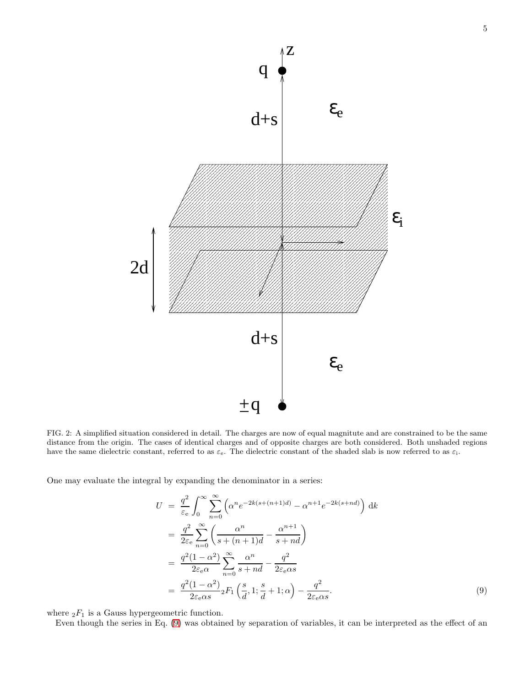

<span id="page-4-0"></span>FIG. 2: A simplified situation considered in detail. The charges are now of equal magnitute and are constrained to be the same distance from the origin. The cases of identical charges and of opposite charges are both considered. Both unshaded regions have the same dielectric constant, referred to as  $\varepsilon_e$ . The dielectric constant of the shaded slab is now referred to as  $\varepsilon_i$ .

−  $\pm q$ 

One may evaluate the integral by expanding the denominator in a series:

<span id="page-4-1"></span>
$$
U = \frac{q^2}{\varepsilon_e} \int_0^\infty \sum_{n=0}^\infty \left( \alpha^n e^{-2k(s + (n+1)d)} - \alpha^{n+1} e^{-2k(s + nd)} \right) dk
$$
  
\n
$$
= \frac{q^2}{2\varepsilon_e} \sum_{n=0}^\infty \left( \frac{\alpha^n}{s + (n+1)d} - \frac{\alpha^{n+1}}{s + nd} \right)
$$
  
\n
$$
= \frac{q^2 (1 - \alpha^2)}{2\varepsilon_e \alpha} \sum_{n=0}^\infty \frac{\alpha^n}{s + nd} - \frac{q^2}{2\varepsilon_e \alpha s}
$$
  
\n
$$
= \frac{q^2 (1 - \alpha^2)}{2\varepsilon_e \alpha s} {}_2F_1 \left( \frac{s}{d}, 1; \frac{s}{d} + 1; \alpha \right) - \frac{q^2}{2\varepsilon_e \alpha s}.
$$
 (9)

where  ${}_2F_1$  is a Gauss hypergeometric function.

Even though the series in Eq. [\(9\)](#page-4-1) was obtained by separation of variables, it can be interpreted as the effect of an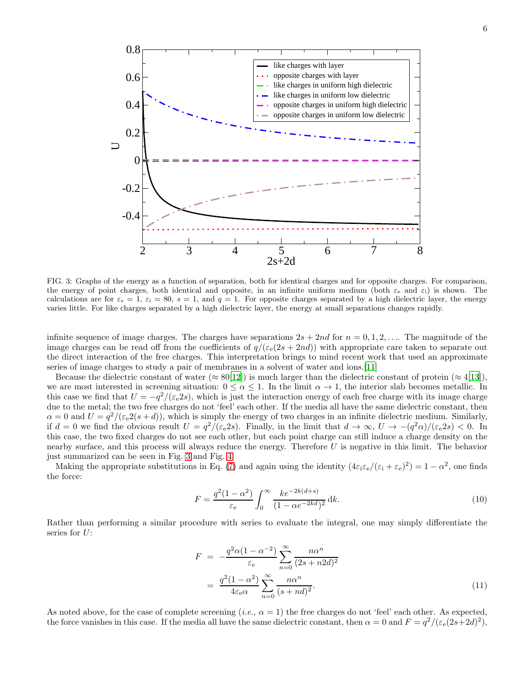

<span id="page-5-0"></span>FIG. 3: Graphs of the energy as a function of separation, both for identical charges and for opposite charges. For comparison, the energy of point charges, both identical and opposite, in an infinite uniform medium (both  $\varepsilon_e$  and  $\varepsilon_i$ ) is shown. The calculations are for  $\varepsilon_e = 1$ ,  $\varepsilon_i = 80$ ,  $s = 1$ , and  $q = 1$ . For opposite charges separated by a high dielectric layer, the energy varies little. For like charges separated by a high dielectric layer, the energy at small separations changes rapidly.

infinite sequence of image charges. The charges have separations  $2s + 2nd$  for  $n = 0, 1, 2, \ldots$ . The magnitude of the image charges can be read off from the coefficients of  $q/(\varepsilon_{e}(2s + 2nd))$  with appropriate care taken to separate out the direct interaction of the free charges. This interpretation brings to mind recent work that used an approximate series of image charges to study a pair of membranes in a solvent of water and ions.[\[11\]](#page-14-5)

Because the dielectric constant of water ( $\approx 80[12]$  $\approx 80[12]$ ) is much larger than the dielectric constant of protein ( $\approx 4[13]$  $\approx 4[13]$ ), we are most interested in screening situation:  $0 \leq \alpha \leq 1$ . In the limit  $\alpha \to 1$ , the interior slab becomes metallic. In this case we find that  $U = -q^2/(\varepsilon_e 2s)$ , which is just the interaction energy of each free charge with its image charge due to the metal; the two free charges do not 'feel' each other. If the media all have the same dielectric constant, then  $\alpha = 0$  and  $U = q^2/(\epsilon_e 2(s+d))$ , which is simply the energy of two charges in an infinite dielectric medium. Similarly, if  $d = 0$  we find the obvious result  $U = \frac{q^2}{(\varepsilon_e 2s)}$ . Finally, in the limit that  $d \to \infty$ ,  $U \to -\frac{q^2 \alpha}{(\varepsilon_e 2s)} < 0$ . In this case, the two fixed charges do not see each other, but each point charge can still induce a charge density on the nearby surface, and this process will always reduce the energy. Therefore U is negative in this limit. The behavior just summarized can be seen in Fig. [3](#page-5-0) and Fig. [4.](#page-6-0)

Making the appropriate substitutions in Eq. [\(7\)](#page-3-1) and again using the identity  $(4\varepsilon_i\varepsilon_e/(\varepsilon_i + \varepsilon_e)^2) = 1 - \alpha^2$ , one finds the force:

<span id="page-5-1"></span>
$$
F = \frac{q^2(1 - \alpha^2)}{\varepsilon_e} \int_0^\infty \frac{k e^{-2k(d+s)}}{(1 - \alpha e^{-2kd})^2} \, dk.
$$
 (10)

Rather than performing a similar procedure with series to evaluate the integral, one may simply differentiate the series for U:

$$
F = -\frac{q^2\alpha(1-\alpha^{-2})}{\varepsilon_e} \sum_{n=0}^{\infty} \frac{n\alpha^n}{(2s+n2d)^2}
$$

$$
= \frac{q^2(1-\alpha^2)}{4\varepsilon_e\alpha} \sum_{n=0}^{\infty} \frac{n\alpha^n}{(s+nd)^2}.
$$
(11)

As noted above, for the case of complete screening (*i.e.*,  $\alpha = 1$ ) the free charges do not 'feel' each other. As expected, the force vanishes in this case. If the media all have the same dielectric constant, then  $\alpha = 0$  and  $F = \frac{q^2}{(\varepsilon_e(2s+2d)^2)}$ ,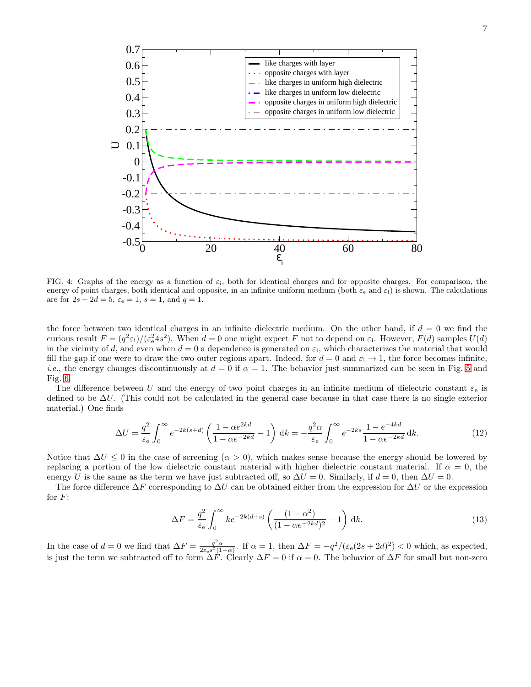

<span id="page-6-0"></span>FIG. 4: Graphs of the energy as a function of  $\varepsilon_i$ , both for identical charges and for opposite charges. For comparison, the energy of point charges, both identical and opposite, in an infinite uniform medium (both  $\varepsilon_e$  and  $\varepsilon_i$ ) is shown. The calculations are for  $2s + 2d = 5$ ,  $\varepsilon_e = 1$ ,  $s = 1$ , and  $q = 1$ .

the force between two identical charges in an infinite dielectric medium. On the other hand, if  $d = 0$  we find the curious result  $F = (q^2 \varepsilon_i)/(\varepsilon_e^2 4s^2)$ . When  $d = 0$  one might expect F not to depend on  $\varepsilon_i$ . However,  $F(d)$  samples  $U(d)$ in the vicinity of d, and even when  $d=0$  a dependence is generated on  $\varepsilon_i$ , which characterizes the material that would fill the gap if one were to draw the two outer regions apart. Indeed, for  $d = 0$  and  $\varepsilon_i \to 1$ , the force becomes infinite, *i.e.*, the energy changes discontinuously at  $d = 0$  if  $\alpha = 1$ . The behavior just summarized can be seen in Fig. [5](#page-7-0) and Fig. [6.](#page-7-1)

The difference between U and the energy of two point charges in an infinite medium of dielectric constant  $\varepsilon_e$  is defined to be ∆U. (This could not be calculated in the general case because in that case there is no single exterior material.) One finds

$$
\Delta U = \frac{q^2}{\varepsilon_e} \int_0^\infty e^{-2k(s+d)} \left( \frac{1 - \alpha e^{2kd}}{1 - \alpha e^{-2kd}} - 1 \right) dk = -\frac{q^2 \alpha}{\varepsilon_e} \int_0^\infty e^{-2ks} \frac{1 - e^{-4kd}}{1 - \alpha e^{-2kd}} dk.
$$
\n(12)

Notice that  $\Delta U \leq 0$  in the case of screening  $(\alpha > 0)$ , which makes sense because the energy should be lowered by replacing a portion of the low dielectric constant material with higher dielectric constant material. If  $\alpha = 0$ , the energy U is the same as the term we have just subtracted off, so  $\Delta U = 0$ . Similarly, if  $d = 0$ , then  $\Delta U = 0$ .

The force difference  $\Delta F$  corresponding to  $\Delta U$  can be obtained either from the expression for  $\Delta U$  or the expression for  $F$ :

<span id="page-6-1"></span>
$$
\Delta F = \frac{q^2}{\varepsilon_e} \int_0^\infty k e^{-2k(d+s)} \left( \frac{(1-\alpha^2)}{(1-\alpha e^{-2kd})^2} - 1 \right) dk.
$$
\n(13)

In the case of  $d = 0$  we find that  $\Delta F = \frac{q^2 \alpha}{2 \epsilon_e s^2 (1-\alpha)}$ . If  $\alpha = 1$ , then  $\Delta F = -\frac{q^2}{(\epsilon_e (2s + 2d)^2)} < 0$  which, as expected, is just the term we subtracted off to form  $\Delta F$ . Clearly  $\Delta F = 0$  if  $\alpha = 0$ . The behavior of  $\Delta F$  for small but non-zero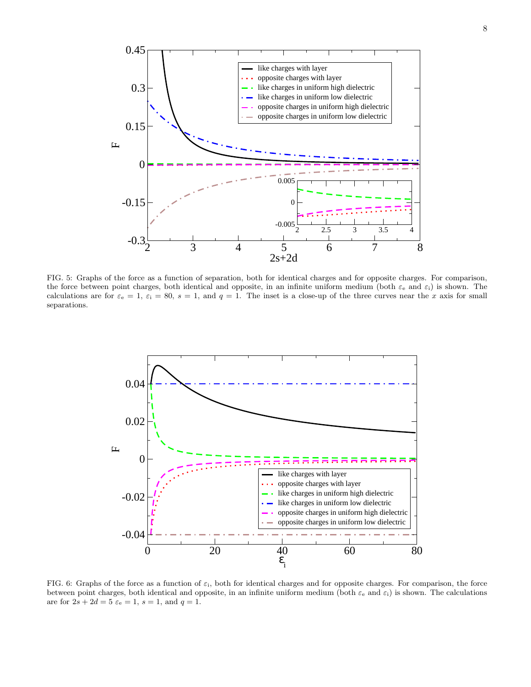

<span id="page-7-0"></span>FIG. 5: Graphs of the force as a function of separation, both for identical charges and for opposite charges. For comparison, the force between point charges, both identical and opposite, in an infinite uniform medium (both  $\varepsilon_e$  and  $\varepsilon_i$ ) is shown. The calculations are for  $\varepsilon_e = 1$ ,  $\varepsilon_i = 80$ ,  $s = 1$ , and  $q = 1$ . The inset is a close-up of the three curves near the x axis for small separations.



<span id="page-7-1"></span>FIG. 6: Graphs of the force as a function of  $\varepsilon_i$ , both for identical charges and for opposite charges. For comparison, the force between point charges, both identical and opposite, in an infinite uniform medium (both  $\varepsilon_e$  and  $\varepsilon_i$ ) is shown. The calculations are for  $2s + 2d = 5 \varepsilon_e = 1$ ,  $s = 1$ , and  $q = 1$ .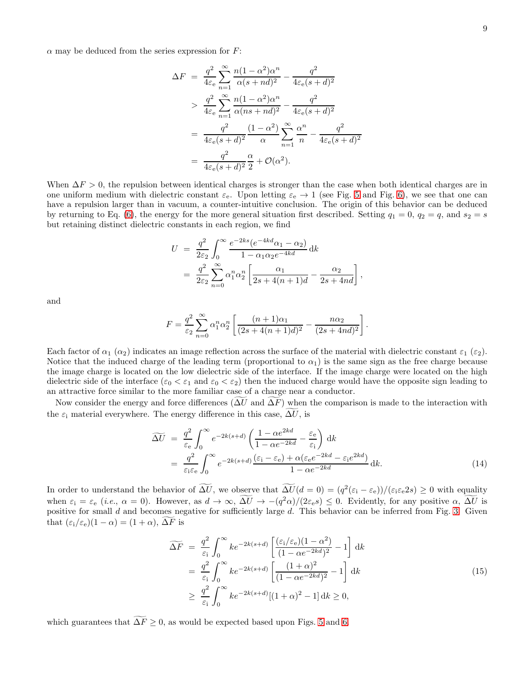$\alpha$  may be deduced from the series expression for  $F$ :

$$
\Delta F = \frac{q^2}{4\varepsilon_e} \sum_{n=1}^{\infty} \frac{n(1-\alpha^2)\alpha^n}{\alpha(s+nd)^2} - \frac{q^2}{4\varepsilon_e(s+d)^2}
$$
  
> 
$$
\frac{q^2}{4\varepsilon_e} \sum_{n=1}^{\infty} \frac{n(1-\alpha^2)\alpha^n}{\alpha(ns+nd)^2} - \frac{q^2}{4\varepsilon_e(s+d)^2}
$$
  
= 
$$
\frac{q^2}{4\varepsilon_e(s+d)^2} \frac{(1-\alpha^2)}{\alpha} \sum_{n=1}^{\infty} \frac{\alpha^n}{n} - \frac{q^2}{4\varepsilon_e(s+d)^2}
$$
  
= 
$$
\frac{q^2}{4\varepsilon_e(s+d)^2} \frac{\alpha}{2} + \mathcal{O}(\alpha^2).
$$

When  $\Delta F > 0$ , the repulsion between identical charges is stronger than the case when both identical charges are in one uniform medium with dielectric constant  $\varepsilon_e$ . Upon letting  $\varepsilon_e \to 1$  (see Fig. [5](#page-7-0) and Fig. [6\)](#page-7-1), we see that one can have a repulsion larger than in vacuum, a counter-intuitive conclusion. The origin of this behavior can be deduced by returning to Eq. [\(6\)](#page-3-0), the energy for the more general situation first described. Setting  $q_1 = 0$ ,  $q_2 = q$ , and  $s_2 = s$ but retaining distinct dielectric constants in each region, we find

$$
U = \frac{q^2}{2\varepsilon_2} \int_0^\infty \frac{e^{-2ks}(e^{-4kd}\alpha_1 - \alpha_2)}{1 - \alpha_1 \alpha_2 e^{-4kd}} dk
$$
  
= 
$$
\frac{q^2}{2\varepsilon_2} \sum_{n=0}^\infty \alpha_1^n \alpha_2^n \left[ \frac{\alpha_1}{2s + 4(n+1)d} - \frac{\alpha_2}{2s + 4nd} \right]
$$

and

$$
F = \frac{q^2}{\varepsilon_2} \sum_{n=0}^{\infty} \alpha_1^n \alpha_2^n \left[ \frac{(n+1)\alpha_1}{(2s+4(n+1)d)^2} - \frac{n\alpha_2}{(2s+4nd)^2} \right].
$$

Each factor of  $\alpha_1$  ( $\alpha_2$ ) indicates an image reflection across the surface of the material with dielectric constant  $\varepsilon_1$  ( $\varepsilon_2$ ). Notice that the induced charge of the leading term (proportional to  $\alpha_1$ ) is the same sign as the free charge because the image charge is located on the low dielectric side of the interface. If the image charge were located on the high dielectric side of the interface  $(\varepsilon_0 < \varepsilon_1$  and  $\varepsilon_0 < \varepsilon_2)$  then the induced charge would have the opposite sign leading to an attractive force similar to the more familiar case of a charge near a conductor.

Now consider the energy and force differences ( $\Delta U$  and  $\Delta F$ ) when the comparison is made to the interaction with the  $\varepsilon_i$  material everywhere. The energy difference in this case,  $\Delta U$ , is

$$
\widetilde{\Delta U} = \frac{q^2}{\varepsilon_e} \int_0^\infty e^{-2k(s+d)} \left( \frac{1 - \alpha e^{2kd}}{1 - \alpha e^{-2kd}} - \frac{\varepsilon_e}{\varepsilon_i} \right) dk
$$
  
\n
$$
= \frac{q^2}{\varepsilon_i \varepsilon_e} \int_0^\infty e^{-2k(s+d)} \frac{(\varepsilon_i - \varepsilon_e) + \alpha(\varepsilon_e e^{-2kd} - \varepsilon_i e^{2kd})}{1 - \alpha e^{-2kd}} dk.
$$
\n(14)

,

In order to understand the behavior of  $\Delta U$ , we observe that  $\Delta U(d=0) = (q^2(\epsilon_i - \epsilon_e))/(\epsilon_i \epsilon_e 2s) \geq 0$  with equality when  $\varepsilon_i = \varepsilon_e$  (*i.e.*,  $\alpha = 0$ ). However, as  $d \to \infty$ ,  $\Delta U \to -(q^2\alpha)/(2\varepsilon_e s) \leq 0$ . Evidently, for any positive  $\alpha$ ,  $\Delta U$  is positive for small  $d$  and becomes negative for sufficiently large  $d$ . This behavior can be inferred from Fig. [3.](#page-5-0) Given that  $(\varepsilon_i/\varepsilon_e)(1-\alpha) = (1+\alpha), \Delta F$  is

<span id="page-8-0"></span>
$$
\widetilde{\Delta F} = \frac{q^2}{\varepsilon_i} \int_0^\infty k e^{-2k(s+d)} \left[ \frac{(\varepsilon_i/\varepsilon_e)(1-\alpha^2)}{(1-\alpha e^{-2kd})^2} - 1 \right] dk
$$
  
\n
$$
= \frac{q^2}{\varepsilon_i} \int_0^\infty k e^{-2k(s+d)} \left[ \frac{(1+\alpha)^2}{(1-\alpha e^{-2kd})^2} - 1 \right] dk
$$
  
\n
$$
\geq \frac{q^2}{\varepsilon_i} \int_0^\infty k e^{-2k(s+d)} [(1+\alpha)^2 - 1] dk \geq 0,
$$
\n(15)

which guarantees that  $\widetilde{\Delta F} \geq 0$ , as would be expected based upon Figs. [5](#page-7-0) and [6.](#page-7-1)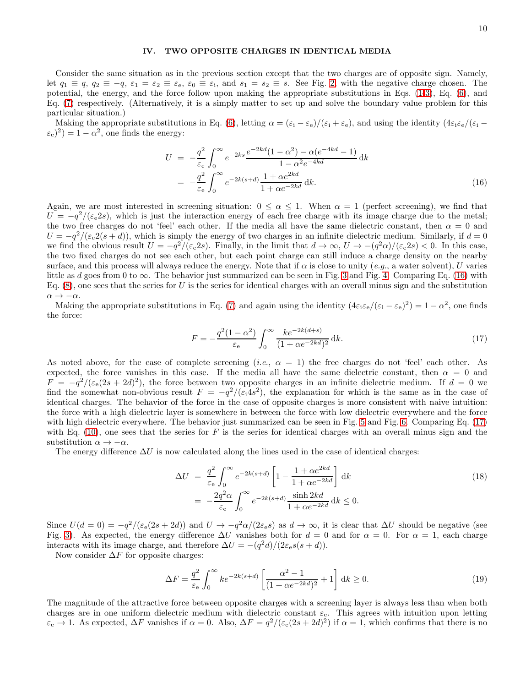### <span id="page-9-3"></span>IV. TWO OPPOSITE CHARGES IN IDENTICAL MEDIA

Consider the same situation as in the previous section except that the two charges are of opposite sign. Namely, let  $q_1 \equiv q$ ,  $q_2 \equiv -q$ ,  $\varepsilon_1 = \varepsilon_2 \equiv \varepsilon_e$ ,  $\varepsilon_0 \equiv \varepsilon_i$ , and  $s_1 = s_2 \equiv s$ . See Fig. [2,](#page-4-0) with the negative charge chosen. The potential, the energy, and the force follow upon making the appropriate substitutions in Eqs. [\(1-](#page-2-0)[3\)](#page-2-4), Eq. [\(6\)](#page-3-0), and Eq. [\(7\)](#page-3-1) respectively. (Alternatively, it is a simply matter to set up and solve the boundary value problem for this particular situation.)

Making the appropriate substitutions in Eq. [\(6\)](#page-3-0), letting  $\alpha = (\varepsilon_i - \varepsilon_e)/(\varepsilon_i + \varepsilon_e)$ , and using the identity  $(4\varepsilon_i\varepsilon_e/(\varepsilon_i - \varepsilon_e))$  $(\varepsilon_e)^2$ ) = 1 –  $\alpha^2$ , one finds the energy:

<span id="page-9-0"></span>
$$
U = -\frac{q^2}{\varepsilon_e} \int_0^\infty e^{-2ks} \frac{e^{-2kd}(1-\alpha^2) - \alpha(e^{-4kd} - 1)}{1 - \alpha^2 e^{-4kd}} dk
$$
  
= 
$$
-\frac{q^2}{\varepsilon_e} \int_0^\infty e^{-2k(s+d)} \frac{1 + \alpha e^{2kd}}{1 + \alpha e^{-2kd}} dk.
$$
 (16)

Again, we are most interested in screening situation:  $0 \leq \alpha \leq 1$ . When  $\alpha = 1$  (perfect screening), we find that  $U = -q^2/(\varepsilon_e 2s)$ , which is just the interaction energy of each free charge with its image charge due to the metal; the two free charges do not 'feel' each other. If the media all have the same dielectric constant, then  $\alpha = 0$  and  $U = -q^2/(\varepsilon_e^2(s+d))$ , which is simply the energy of two charges in an infinite dielectric medium. Similarly, if  $d = 0$ we find the obvious result  $U = -q^2/(\varepsilon_e 2s)$ . Finally, in the limit that  $d \to \infty$ ,  $U \to -(q^2\alpha)/(\varepsilon_e 2s) < 0$ . In this case, the two fixed charges do not see each other, but each point charge can still induce a charge density on the nearby surface, and this process will always reduce the energy. Note that if  $\alpha$  is close to unity (e.g., a water solvent), U varies little as d goes from 0 to  $\infty$ . The behavior just summarized can be seen in Fig. [3](#page-5-0) and Fig. [4.](#page-6-0) Comparing Eq. [\(16\)](#page-9-0) with Eq.  $(8)$ , one sees that the series for U is the series for identical charges with an overall minus sign and the substitution  $\alpha \rightarrow -\alpha$ .

Making the appropriate substitutions in Eq. [\(7\)](#page-3-1) and again using the identity  $(4\varepsilon_i\varepsilon_e/(\varepsilon_i-\varepsilon_e)^2)=1-\alpha^2$ , one finds the force:

<span id="page-9-1"></span>
$$
F = -\frac{q^2(1-\alpha^2)}{\varepsilon_e} \int_0^\infty \frac{k e^{-2k(d+s)}}{(1+\alpha e^{-2kd})^2} \, \mathrm{d}k. \tag{17}
$$

As noted above, for the case of complete screening (*i.e.*,  $\alpha = 1$ ) the free charges do not 'feel' each other. As expected, the force vanishes in this case. If the media all have the same dielectric constant, then  $\alpha = 0$  and  $F = -q^2/(\epsilon_e(2s+2d)^2)$ , the force between two opposite charges in an infinite dielectric medium. If  $d = 0$  we find the somewhat non-obvious result  $F = -q^2/(\varepsilon_1 4s^2)$ , the explanation for which is the same as in the case of identical charges. The behavior of the force in the case of opposite charges is more consistent with naive intuition: the force with a high dielectric layer is somewhere in between the force with low dielectric everywhere and the force with high dielectric everywhere. The behavior just summarized can be seen in Fig. [5](#page-7-0) and Fig. [6.](#page-7-1) Comparing Eq. [\(17\)](#page-9-1) with Eq.  $(10)$ , one sees that the series for F is the series for identical charges with an overall minus sign and the substitution  $\alpha \to -\alpha$ .

The energy difference  $\Delta U$  is now calculated along the lines used in the case of identical charges:

$$
\Delta U = \frac{q^2}{\varepsilon_e} \int_0^\infty e^{-2k(s+d)} \left[ 1 - \frac{1 + \alpha e^{2kd}}{1 + \alpha e^{-2kd}} \right] dk
$$
  
= 
$$
-\frac{2q^2 \alpha}{\varepsilon_e} \int_0^\infty e^{-2k(s+d)} \frac{\sinh 2kd}{1 + \alpha e^{-2kd}} dk \le 0.
$$
 (18)

Since  $U(d=0) = -q^2/(\varepsilon_e(2s+2d))$  and  $U \to -q^2\alpha/(2\varepsilon_e s)$  as  $d \to \infty$ , it is clear that  $\Delta U$  should be negative (see Fig. [3\)](#page-5-0). As expected, the energy difference  $\Delta U$  vanishes both for  $d = 0$  and for  $\alpha = 0$ . For  $\alpha = 1$ , each charge interacts with its image charge, and therefore  $\Delta U = -(q^2 d)/(2\varepsilon_e s(s+d)).$ 

Now consider  $\Delta F$  for opposite charges:

<span id="page-9-2"></span>
$$
\Delta F = \frac{q^2}{\varepsilon_e} \int_0^\infty k e^{-2k(s+d)} \left[ \frac{\alpha^2 - 1}{(1 + \alpha e^{-2kd})^2} + 1 \right] dk \ge 0.
$$
\n(19)

The magnitude of the attractive force between opposite charges with a screening layer is always less than when both charges are in one uniform dielectric medium with dielectric constant  $\varepsilon_{e}$ . This agrees with intuition upon letting  $\varepsilon_{e} \to 1$ . As expected,  $\Delta F$  vanishes if  $\alpha = 0$ . Also,  $\Delta F = q^2/(\varepsilon_{e}(2s + 2d)^2)$  if  $\alpha = 1$ , which confirms that there is no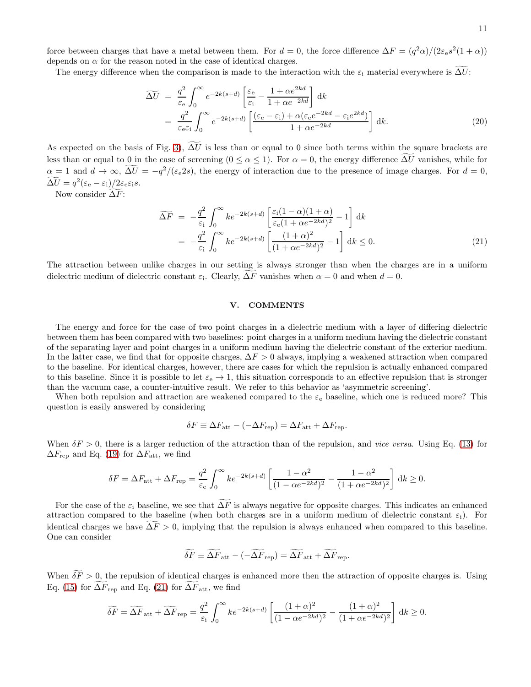force between charges that have a metal between them. For  $d = 0$ , the force difference  $\Delta F = (q^2 \alpha)/(2 \epsilon_e s^2 (1 + \alpha))$ depends on  $\alpha$  for the reason noted in the case of identical charges.

The energy difference when the comparison is made to the interaction with the  $\varepsilon_i$  material everywhere is  $\Delta U$ :

$$
\widetilde{\Delta U} = \frac{q^2}{\varepsilon_e} \int_0^\infty e^{-2k(s+d)} \left[ \frac{\varepsilon_e}{\varepsilon_i} - \frac{1 + \alpha e^{2kd}}{1 + \alpha e^{-2kd}} \right] dk
$$
  
\n
$$
= \frac{q^2}{\varepsilon_e \varepsilon_i} \int_0^\infty e^{-2k(s+d)} \left[ \frac{(\varepsilon_e - \varepsilon_i) + \alpha(\varepsilon_e e^{-2kd} - \varepsilon_i e^{2kd})}{1 + \alpha e^{-2kd}} \right] dk.
$$
\n(20)

As expected on the basis of Fig. [3\)](#page-5-0),  $\Delta U$  is less than or equal to 0 since both terms within the square brackets are less than or equal to 0 in the case of screening  $(0 \le \alpha \le 1)$ . For  $\alpha = 0$ , the energy difference  $\widetilde{\Delta U}$  vanishes, while for  $\alpha = 1$  and  $d \to \infty$ ,  $\Delta U = -q^2/(\varepsilon_e 2s)$ , the energy of interaction due to the presence of image charges. For  $d = 0$ ,  $\widetilde{\Delta U} = q^2 (\varepsilon_{\rm e} - \varepsilon_{\rm i}) / 2 \varepsilon_{\rm e} \varepsilon_{\rm i} s.$ 

Now consider  $\widetilde{\Delta F}$ :

<span id="page-10-0"></span>
$$
\widetilde{\Delta F} = -\frac{q^2}{\varepsilon_i} \int_0^\infty k e^{-2k(s+d)} \left[ \frac{\varepsilon_i (1-\alpha)(1+\alpha)}{\varepsilon_e (1+\alpha e^{-2kd})^2} - 1 \right] dk
$$
  
= 
$$
-\frac{q^2}{\varepsilon_i} \int_0^\infty k e^{-2k(s+d)} \left[ \frac{(1+\alpha)^2}{(1+\alpha e^{-2kd})^2} - 1 \right] dk \le 0.
$$
 (21)

The attraction between unlike charges in our setting is always stronger than when the charges are in a uniform dielectric medium of dielectric constant  $\varepsilon_i$ . Clearly,  $\Delta F$  vanishes when  $\alpha = 0$  and when  $d = 0$ .

# V. COMMENTS

The energy and force for the case of two point charges in a dielectric medium with a layer of differing dielectric between them has been compared with two baselines: point charges in a uniform medium having the dielectric constant of the separating layer and point charges in a uniform medium having the dielectric constant of the exterior medium. In the latter case, we find that for opposite charges,  $\Delta F > 0$  always, implying a weakened attraction when compared to the baseline. For identical charges, however, there are cases for which the repulsion is actually enhanced compared to this baseline. Since it is possible to let  $\varepsilon_e \to 1$ , this situation corresponds to an effective repulsion that is stronger than the vacuum case, a counter-intuitive result. We refer to this behavior as 'asymmetric screening'.

When both repulsion and attraction are weakened compared to the  $\varepsilon_e$  baseline, which one is reduced more? This question is easily answered by considering

$$
\delta F \equiv \Delta F_{\text{att}} - (-\Delta F_{\text{rep}}) = \Delta F_{\text{att}} + \Delta F_{\text{rep}}.
$$

When  $\delta F > 0$ , there is a larger reduction of the attraction than of the repulsion, and vice versa. Using Eq. [\(13\)](#page-6-1) for  $\Delta F_{\rm rep}$  and Eq. [\(19\)](#page-9-2) for  $\Delta F_{\rm att}$ , we find

$$
\delta F = \Delta F_{\text{att}} + \Delta F_{\text{rep}} = \frac{q^2}{\varepsilon_e} \int_0^\infty k e^{-2k(s+d)} \left[ \frac{1-\alpha^2}{(1-\alpha e^{-2kd})^2} - \frac{1-\alpha^2}{(1+\alpha e^{-2kd})^2} \right] dk \ge 0.
$$

For the case of the  $\varepsilon_i$  baseline, we see that  $\widetilde{\Delta F}$  is always negative for opposite charges. This indicates an enhanced attraction compared to the baseline (when both charges are in a uniform medium of dielectric constant  $\varepsilon_i$ ). For identical charges we have  $\Delta F > 0$ , implying that the repulsion is always enhanced when compared to this baseline. One can consider

$$
\widetilde{\delta F} \equiv \widetilde{\Delta F}_{\rm att} - (-\widetilde{\Delta F}_{\rm rep}) = \widetilde{\Delta F}_{\rm att} + \widetilde{\Delta F}_{\rm rep}.
$$

When  $\widetilde{\delta F} > 0$ , the repulsion of identical charges is enhanced more then the attraction of opposite charges is. Using Eq. [\(15\)](#page-8-0) for  $\Delta F_{\text{rep}}$  and Eq. [\(21\)](#page-10-0) for  $\Delta F_{\text{att}}$ , we find

$$
\widetilde{\delta F} = \widetilde{\Delta F}_{\text{att}} + \widetilde{\Delta F}_{\text{rep}} = \frac{q^2}{\varepsilon_i} \int_0^\infty k e^{-2k(s+d)} \left[ \frac{(1+\alpha)^2}{(1-\alpha e^{-2kd})^2} - \frac{(1+\alpha)^2}{(1+\alpha e^{-2kd})^2} \right] dk \ge 0.
$$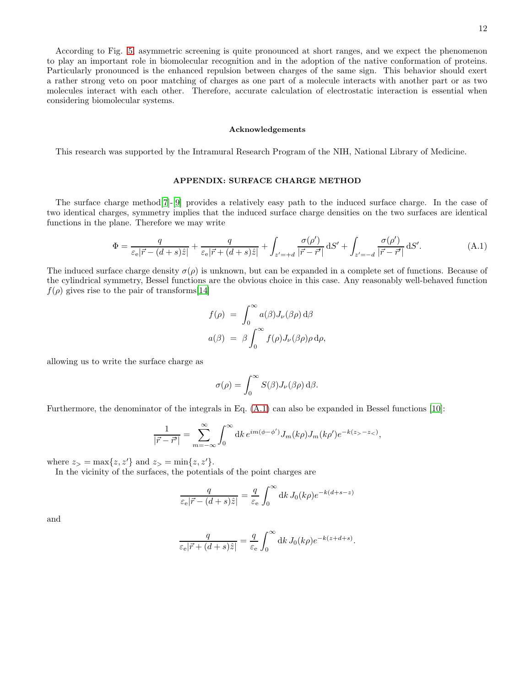According to Fig. [5,](#page-7-0) asymmetric screening is quite pronounced at short ranges, and we expect the phenomenon to play an important role in biomolecular recognition and in the adoption of the native conformation of proteins. Particularly pronounced is the enhanced repulsion between charges of the same sign. This behavior should exert a rather strong veto on poor matching of charges as one part of a molecule interacts with another part or as two molecules interact with each other. Therefore, accurate calculation of electrostatic interaction is essential when considering biomolecular systems.

#### Acknowledgements

This research was supported by the Intramural Research Program of the NIH, National Library of Medicine.

### APPENDIX: SURFACE CHARGE METHOD

The surface charge method[\[7](#page-14-2)]-[\[9](#page-14-3)] provides a relatively easy path to the induced surface charge. In the case of two identical charges, symmetry implies that the induced surface charge densities on the two surfaces are identical functions in the plane. Therefore we may write

<span id="page-11-0"></span>
$$
\Phi = \frac{q}{\varepsilon_{\rm e}|\vec{r} - (d+s)\hat{z}|} + \frac{q}{\varepsilon_{\rm e}|\vec{r} + (d+s)\hat{z}|} + \int_{z' = +d} \frac{\sigma(\rho')}{|\vec{r} - \vec{r}'|} dS' + \int_{z' = -d} \frac{\sigma(\rho')}{|\vec{r} - \vec{r}'|} dS'.
$$
\n(A.1)

The induced surface charge density  $\sigma(\rho)$  is unknown, but can be expanded in a complete set of functions. Because of the cylindrical symmetry, Bessel functions are the obvious choice in this case. Any reasonably well-behaved function  $f(\rho)$  gives rise to the pair of transforms[\[14\]](#page-14-8)

$$
f(\rho) = \int_0^\infty a(\beta) J_\nu(\beta \rho) d\beta
$$
  

$$
a(\beta) = \beta \int_0^\infty f(\rho) J_\nu(\beta \rho) \rho d\rho,
$$

allowing us to write the surface charge as

$$
\sigma(\rho) = \int_0^\infty S(\beta) J_\nu(\beta \rho) \,d\beta.
$$

Furthermore, the denominator of the integrals in Eq. [\(A.1\)](#page-11-0) can also be expanded in Bessel functions [\[10](#page-14-4)]:

$$
\frac{1}{|\vec{r} - \vec{r}'|} = \sum_{m = -\infty}^{\infty} \int_0^{\infty} dk \, e^{im(\phi - \phi')} J_m(k\rho) J_m(k\rho') e^{-k(z - z_{\leq})},
$$

where  $z_{>} = \max\{z, z'\}$  and  $z_{>} = \min\{z, z'\}.$ 

In the vicinity of the surfaces, the potentials of the point charges are

$$
\frac{q}{\varepsilon_{\rm e}|\vec{r} - (d+s)\hat{z}|} = \frac{q}{\varepsilon_{\rm e}} \int_0^\infty {\rm d}k \, J_0(k\rho) e^{-k(d+s-z)}
$$

and

$$
\frac{q}{\varepsilon_{\rm e}|\vec{r} + (d+s)\hat{z}|} = \frac{q}{\varepsilon_{\rm e}} \int_0^\infty {\rm d}k \, J_0(k\rho) e^{-k(z+d+s)}.
$$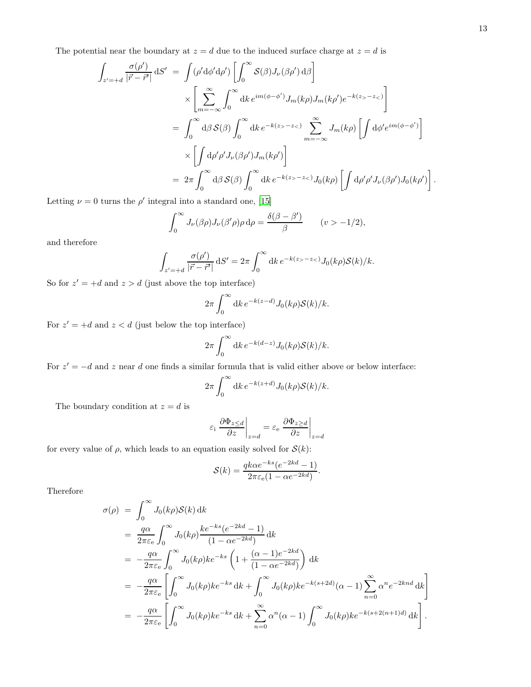The potential near the boundary at  $z = d$  due to the induced surface charge at  $z = d$  is

$$
\int_{z'=+d} \frac{\sigma(\rho')}{|\vec{r}-\vec{r'}|} dS' = \int (\rho' d\phi' d\rho') \left[ \int_0^\infty \mathcal{S}(\beta) J_\nu(\beta \rho') d\beta \right]
$$
\n
$$
\times \left[ \sum_{m=-\infty}^\infty \int_0^\infty dk \, e^{im(\phi-\phi')} J_m(k\rho) J_m(k\rho') e^{-k(z_>-z_<)} \right]
$$
\n
$$
= \int_0^\infty d\beta \, \mathcal{S}(\beta) \int_0^\infty dk \, e^{-k(z_>-z_<)} \sum_{m=-\infty}^\infty J_m(k\rho) \left[ \int d\phi' e^{im(\phi-\phi')} \right]
$$
\n
$$
\times \left[ \int d\rho' \rho' J_\nu(\beta \rho') J_m(k\rho') \right]
$$
\n
$$
= 2\pi \int_0^\infty d\beta \, \mathcal{S}(\beta) \int_0^\infty dk \, e^{-k(z_>-z_<)} J_0(k\rho) \left[ \int d\rho' \rho' J_\nu(\beta \rho') J_0(k\rho') \right].
$$

Letting  $\nu = 0$  turns the  $\rho'$  integral into a standard one, [\[15\]](#page-14-9)

$$
\int_0^\infty J_\nu(\beta \rho) J_\nu(\beta' \rho) \rho \,d\rho = \frac{\delta(\beta - \beta')}{\beta} \qquad (v > -1/2),
$$

and therefore

$$
\int_{z'=+d} \frac{\sigma(\rho')}{|\vec{r}-\vec{r'}|} dS' = 2\pi \int_0^\infty dk \, e^{-k(z_>-z_<)} J_0(k\rho) \mathcal{S}(k)/k.
$$

So for  $z' = +d$  and  $z > d$  (just above the top interface)

$$
2\pi \int_0^\infty \mathrm{d}k \, e^{-k(z-d)} J_0(k\rho) \mathcal{S}(k)/k.
$$

For  $z' = +d$  and  $z < d$  (just below the top interface)

$$
2\pi \int_0^\infty \mathrm{d}k \, e^{-k(d-z)} J_0(k\rho) \mathcal{S}(k)/k.
$$

For  $z' = -d$  and z near d one finds a similar formula that is valid either above or below interface:

$$
2\pi \int_0^\infty \mathrm{d}k \, e^{-k(z+d)} J_0(k\rho) \mathcal{S}(k)/k.
$$

The boundary condition at  $z = d$  is

$$
\varepsilon_{\rm i} \left.\frac{\partial\Phi_{z\leq d}}{\partial z}\right|_{z=d}=\varepsilon_{\rm e} \left.\frac{\partial\Phi_{z\geq d}}{\partial z}\right|_{z=d}
$$

for every value of  $\rho$ , which leads to an equation easily solved for  $\mathcal{S}(k)$ :

$$
S(k) = \frac{qk\alpha e^{-ks}(e^{-2kd} - 1)}{2\pi\varepsilon_e(1 - \alpha e^{-2kd})}.
$$

Therefore

$$
\sigma(\rho) = \int_0^\infty J_0(k\rho) S(k) dk
$$
  
\n
$$
= \frac{q\alpha}{2\pi\varepsilon_e} \int_0^\infty J_0(k\rho) \frac{k e^{-ks}(e^{-2kd} - 1)}{(1 - \alpha e^{-2kd})} dk
$$
  
\n
$$
= -\frac{q\alpha}{2\pi\varepsilon_e} \int_0^\infty J_0(k\rho) k e^{-ks} \left(1 + \frac{(\alpha - 1)e^{-2kd}}{(1 - \alpha e^{-2kd})}\right) dk
$$
  
\n
$$
= -\frac{q\alpha}{2\pi\varepsilon_e} \left[ \int_0^\infty J_0(k\rho) k e^{-ks} dk + \int_0^\infty J_0(k\rho) k e^{-k(s+2d)} (\alpha - 1) \sum_{n=0}^\infty \alpha^n e^{-2knd} dk \right]
$$
  
\n
$$
= -\frac{q\alpha}{2\pi\varepsilon_e} \left[ \int_0^\infty J_0(k\rho) k e^{-ks} dk + \sum_{n=0}^\infty \alpha^n (\alpha - 1) \int_0^\infty J_0(k\rho) k e^{-k(s+2(n+1)d)} dk \right].
$$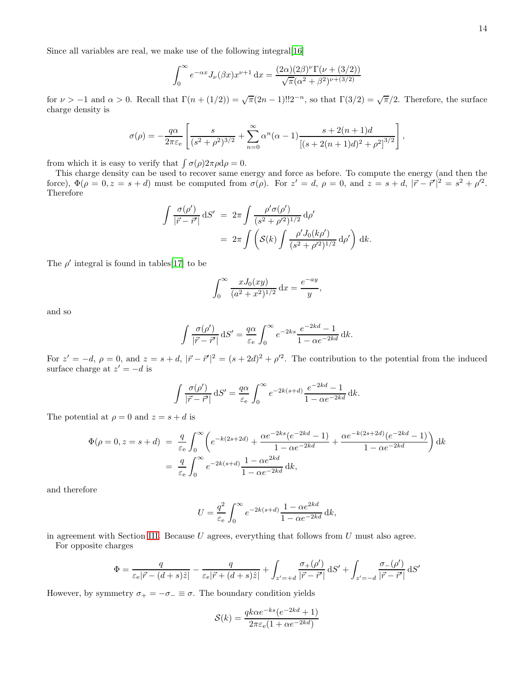Since all variables are real, we make use of the following integral[\[16](#page-14-10)]

$$
\int_0^\infty e^{-\alpha x} J_\nu(\beta x) x^{\nu+1} dx = \frac{(2\alpha)(2\beta)^{\nu} \Gamma(\nu + (3/2))}{\sqrt{\pi}(\alpha^2 + \beta^2)^{\nu + (3/2)}}
$$

for  $\nu > -1$  and  $\alpha > 0$ . Recall that  $\Gamma(n + (1/2)) = \sqrt{\pi}(2n - 1)!!2^{-n}$ , so that  $\Gamma(3/2) = \sqrt{\pi}/2$ . Therefore, the surface charge density is

$$
\sigma(\rho) = -\frac{q\alpha}{2\pi\varepsilon_e} \left[ \frac{s}{(s^2 + \rho^2)^{3/2}} + \sum_{n=0}^{\infty} \alpha^n (\alpha - 1) \frac{s + 2(n+1)d}{[(s + 2(n+1)d)^2 + \rho^2]^{3/2}} \right],
$$

from which it is easy to verify that  $\int \sigma(\rho) 2\pi \rho d\rho = 0$ .

This charge density can be used to recover same energy and force as before. To compute the energy (and then the force),  $\Phi(\rho = 0, z = s + d)$  must be computed from  $\sigma(\rho)$ . For  $z' = d$ ,  $\rho = 0$ , and  $z = s + d$ ,  $|\vec{r} - \vec{r}'|^2 = s^2 + {\rho'}^2$ . Therefore

$$
\int \frac{\sigma(\rho')}{|\vec{r} - \vec{r}'|} dS' = 2\pi \int \frac{\rho' \sigma(\rho')}{(s^2 + \rho'^2)^{1/2}} d\rho'
$$
  
=  $2\pi \int \left( S(k) \int \frac{\rho' J_0(k\rho')}{(s^2 + \rho'^2)^{1/2}} d\rho' \right) dk.$ 

The  $\rho'$  integral is found in tables[\[17\]](#page-14-11) to be

$$
\int_0^\infty \frac{x J_0(xy)}{(a^2 + x^2)^{1/2}} dx = \frac{e^{-ay}}{y},
$$

and so

$$
\int \frac{\sigma(\rho')}{|\vec{r} - \vec{r'}|} dS' = \frac{q\alpha}{\varepsilon_e} \int_0^\infty e^{-2ks} \frac{e^{-2kd} - 1}{1 - \alpha e^{-2kd}} dk.
$$

For  $z' = -d$ ,  $\rho = 0$ , and  $z = s + d$ ,  $|\vec{r} - \vec{r}'|^2 = (s + 2d)^2 + \rho'^2$ . The contribution to the potential from the induced surface charge at  $z' = -d$  is

$$
\int \frac{\sigma(\rho')}{|\vec{r} - \vec{r'}|} dS' = \frac{q\alpha}{\varepsilon_e} \int_0^\infty e^{-2k(s+d)} \frac{e^{-2kd} - 1}{1 - \alpha e^{-2kd}} dk.
$$

The potential at  $\rho = 0$  and  $z = s + d$  is

$$
\Phi(\rho = 0, z = s + d) = \frac{q}{\varepsilon_e} \int_0^\infty \left( e^{-k(2s+2d)} + \frac{\alpha e^{-2ks} (e^{-2kd} - 1)}{1 - \alpha e^{-2kd}} + \frac{\alpha e^{-k(2s+2d)} (e^{-2kd} - 1)}{1 - \alpha e^{-2kd}} \right) dk
$$

$$
= \frac{q}{\varepsilon_e} \int_0^\infty e^{-2k(s+d)} \frac{1 - \alpha e^{2kd}}{1 - \alpha e^{-2kd}} dk,
$$

and therefore

$$
U = \frac{q^2}{\varepsilon_e} \int_0^\infty e^{-2k(s+d)} \frac{1 - \alpha e^{2kd}}{1 - \alpha e^{-2kd}} dk,
$$

in agreement with Section [III.](#page-3-3) Because  $U$  agrees, everything that follows from  $U$  must also agree. For opposite charges

$$
\Phi = \frac{q}{\varepsilon_e |\vec{r} - (d+s)\hat{z}|} - \frac{q}{\varepsilon_e |\vec{r} + (d+s)\hat{z}|} + \int_{z' = +d} \frac{\sigma_+(\rho')}{|\vec{r} - \vec{r}'|} dS' + \int_{z' = -d} \frac{\sigma_-(\rho')}{|\vec{r} - \vec{r}'|} dS'
$$

However, by symmetry  $\sigma_+ = -\sigma_- \equiv \sigma$ . The boundary condition yields

$$
S(k) = \frac{qk\alpha e^{-ks}(e^{-2kd} + 1)}{2\pi\varepsilon_e(1 + \alpha e^{-2kd})}
$$